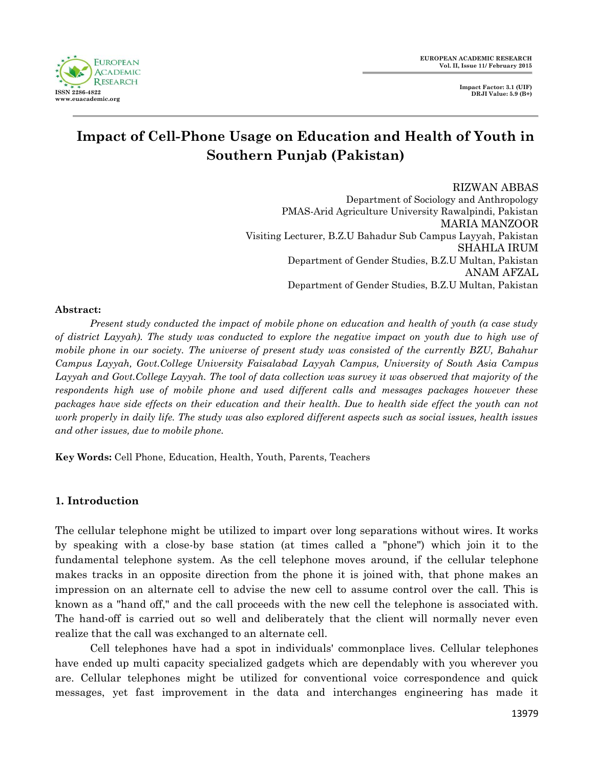

**Impact Factor: 3.1 (UIF) DRJI Value: 5.9 (B+)**

# **Impact of Cell-Phone Usage on Education and Health of Youth in Southern Punjab (Pakistan)**

RIZWAN ABBAS Department of Sociology and Anthropology PMAS-Arid Agriculture University Rawalpindi, Pakistan MARIA MANZOOR Visiting Lecturer, B.Z.U Bahadur Sub Campus Layyah, Pakistan SHAHLA IRUM Department of Gender Studies, B.Z.U Multan, Pakistan ANAM AFZAL Department of Gender Studies, B.Z.U Multan, Pakistan

#### **Abstract:**

*Present study conducted the impact of mobile phone on education and health of youth (a case study of district Layyah). The study was conducted to explore the negative impact on youth due to high use of mobile phone in our society. The universe of present study was consisted of the currently BZU, Bahahur Campus Layyah, Govt.College University Faisalabad Layyah Campus, University of South Asia Campus Layyah and Govt.College Layyah. The tool of data collection was survey it was observed that majority of the respondents high use of mobile phone and used different calls and messages packages however these packages have side effects on their education and their health. Due to health side effect the youth can not work properly in daily life. The study was also explored different aspects such as social issues, health issues and other issues, due to mobile phone.*

**Key Words:** Cell Phone, Education, Health, Youth, Parents, Teachers

# **1***.* **Introduction**

The cellular telephone might be utilized to impart over long separations without wires. It works by speaking with a close-by base station (at times called a "phone") which join it to the fundamental telephone system. As the cell telephone moves around, if the cellular telephone makes tracks in an opposite direction from the phone it is joined with, that phone makes an impression on an alternate cell to advise the new cell to assume control over the call. This is known as a "hand off," and the call proceeds with the new cell the telephone is associated with. The hand-off is carried out so well and deliberately that the client will normally never even realize that the call was exchanged to an alternate cell.

Cell telephones have had a spot in individuals' commonplace lives. Cellular telephones have ended up multi capacity specialized gadgets which are dependably with you wherever you are. Cellular telephones might be utilized for conventional voice correspondence and quick messages, yet fast improvement in the data and interchanges engineering has made it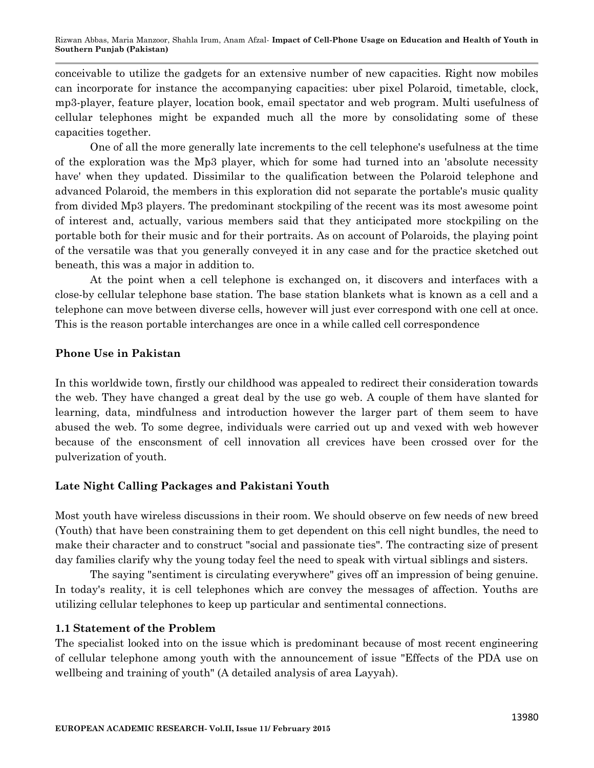conceivable to utilize the gadgets for an extensive number of new capacities. Right now mobiles can incorporate for instance the accompanying capacities: uber pixel Polaroid, timetable, clock, mp3-player, feature player, location book, email spectator and web program. Multi usefulness of cellular telephones might be expanded much all the more by consolidating some of these capacities together.

One of all the more generally late increments to the cell telephone's usefulness at the time of the exploration was the Mp3 player, which for some had turned into an 'absolute necessity have' when they updated. Dissimilar to the qualification between the Polaroid telephone and advanced Polaroid, the members in this exploration did not separate the portable's music quality from divided Mp3 players. The predominant stockpiling of the recent was its most awesome point of interest and, actually, various members said that they anticipated more stockpiling on the portable both for their music and for their portraits. As on account of Polaroids, the playing point of the versatile was that you generally conveyed it in any case and for the practice sketched out beneath, this was a major in addition to.

At the point when a cell telephone is exchanged on, it discovers and interfaces with a close-by cellular telephone base station. The base station blankets what is known as a cell and a telephone can move between diverse cells, however will just ever correspond with one cell at once. This is the reason portable interchanges are once in a while called cell correspondence

# **Phone Use in Pakistan**

In this worldwide town, firstly our childhood was appealed to redirect their consideration towards the web. They have changed a great deal by the use go web. A couple of them have slanted for learning, data, mindfulness and introduction however the larger part of them seem to have abused the web. To some degree, individuals were carried out up and vexed with web however because of the ensconsment of cell innovation all crevices have been crossed over for the pulverization of youth.

# **Late Night Calling Packages and Pakistani Youth**

Most youth have wireless discussions in their room. We should observe on few needs of new breed (Youth) that have been constraining them to get dependent on this cell night bundles, the need to make their character and to construct "social and passionate ties". The contracting size of present day families clarify why the young today feel the need to speak with virtual siblings and sisters.

The saying "sentiment is circulating everywhere" gives off an impression of being genuine. In today's reality, it is cell telephones which are convey the messages of affection. Youths are utilizing cellular telephones to keep up particular and sentimental connections.

# **1.1 Statement of the Problem**

The specialist looked into on the issue which is predominant because of most recent engineering of cellular telephone among youth with the announcement of issue "Effects of the PDA use on wellbeing and training of youth" (A detailed analysis of area Layyah).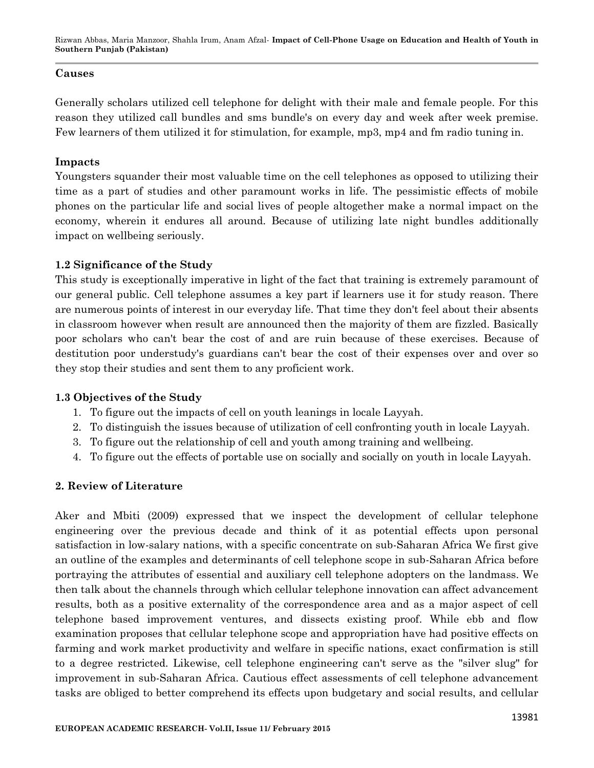Rizwan Abbas, Maria Manzoor, Shahla Irum, Anam Afzal*-* **Impact of Cell-Phone Usage on Education and Health of Youth in Southern Punjab (Pakistan)**

#### **Causes**

Generally scholars utilized cell telephone for delight with their male and female people. For this reason they utilized call bundles and sms bundle's on every day and week after week premise. Few learners of them utilized it for stimulation, for example, mp3, mp4 and fm radio tuning in.

#### **Impacts**

Youngsters squander their most valuable time on the cell telephones as opposed to utilizing their time as a part of studies and other paramount works in life. The pessimistic effects of mobile phones on the particular life and social lives of people altogether make a normal impact on the economy, wherein it endures all around. Because of utilizing late night bundles additionally impact on wellbeing seriously.

#### **1.2 Significance of the Study**

This study is exceptionally imperative in light of the fact that training is extremely paramount of our general public. Cell telephone assumes a key part if learners use it for study reason. There are numerous points of interest in our everyday life. That time they don't feel about their absents in classroom however when result are announced then the majority of them are fizzled. Basically poor scholars who can't bear the cost of and are ruin because of these exercises. Because of destitution poor understudy's guardians can't bear the cost of their expenses over and over so they stop their studies and sent them to any proficient work.

#### **1.3 Objectives of the Study**

- 1. To figure out the impacts of cell on youth leanings in locale Layyah.
- 2. To distinguish the issues because of utilization of cell confronting youth in locale Layyah.
- 3. To figure out the relationship of cell and youth among training and wellbeing.
- 4. To figure out the effects of portable use on socially and socially on youth in locale Layyah.

# **2. Review of Literature**

Aker and Mbiti (2009) expressed that we inspect the development of cellular telephone engineering over the previous decade and think of it as potential effects upon personal satisfaction in low-salary nations, with a specific concentrate on sub-Saharan Africa We first give an outline of the examples and determinants of cell telephone scope in sub-Saharan Africa before portraying the attributes of essential and auxiliary cell telephone adopters on the landmass. We then talk about the channels through which cellular telephone innovation can affect advancement results, both as a positive externality of the correspondence area and as a major aspect of cell telephone based improvement ventures, and dissects existing proof. While ebb and flow examination proposes that cellular telephone scope and appropriation have had positive effects on farming and work market productivity and welfare in specific nations, exact confirmation is still to a degree restricted. Likewise, cell telephone engineering can't serve as the "silver slug" for improvement in sub-Saharan Africa. Cautious effect assessments of cell telephone advancement tasks are obliged to better comprehend its effects upon budgetary and social results, and cellular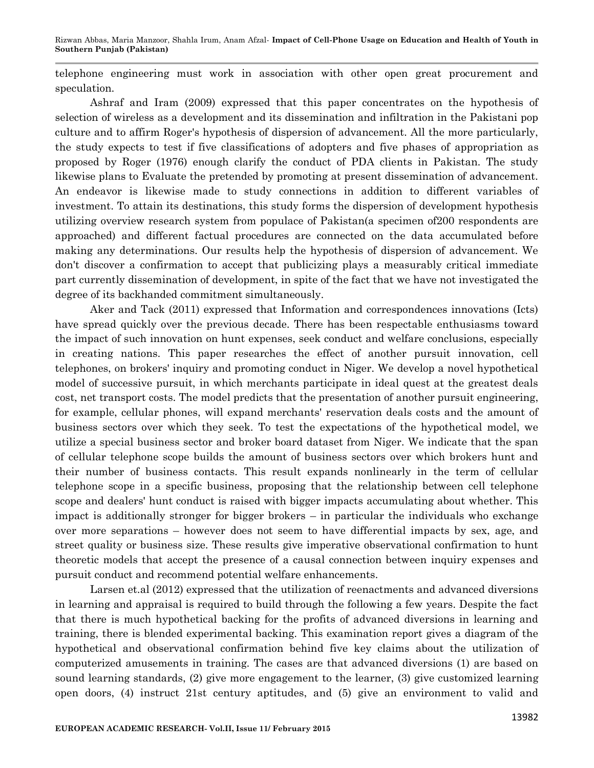Rizwan Abbas, Maria Manzoor, Shahla Irum, Anam Afzal*-* **Impact of Cell-Phone Usage on Education and Health of Youth in Southern Punjab (Pakistan)**

telephone engineering must work in association with other open great procurement and speculation.

Ashraf and Iram (2009) expressed that this paper concentrates on the hypothesis of selection of wireless as a development and its dissemination and infiltration in the Pakistani pop culture and to affirm Roger's hypothesis of dispersion of advancement. All the more particularly, the study expects to test if five classifications of adopters and five phases of appropriation as proposed by Roger (1976) enough clarify the conduct of PDA clients in Pakistan. The study likewise plans to Evaluate the pretended by promoting at present dissemination of advancement. An endeavor is likewise made to study connections in addition to different variables of investment. To attain its destinations, this study forms the dispersion of development hypothesis utilizing overview research system from populace of Pakistan(a specimen of200 respondents are approached) and different factual procedures are connected on the data accumulated before making any determinations. Our results help the hypothesis of dispersion of advancement. We don't discover a confirmation to accept that publicizing plays a measurably critical immediate part currently dissemination of development, in spite of the fact that we have not investigated the degree of its backhanded commitment simultaneously.

Aker and Tack (2011) expressed that Information and correspondences innovations (Icts) have spread quickly over the previous decade. There has been respectable enthusiasms toward the impact of such innovation on hunt expenses, seek conduct and welfare conclusions, especially in creating nations. This paper researches the effect of another pursuit innovation, cell telephones, on brokers' inquiry and promoting conduct in Niger. We develop a novel hypothetical model of successive pursuit, in which merchants participate in ideal quest at the greatest deals cost, net transport costs. The model predicts that the presentation of another pursuit engineering, for example, cellular phones, will expand merchants' reservation deals costs and the amount of business sectors over which they seek. To test the expectations of the hypothetical model, we utilize a special business sector and broker board dataset from Niger. We indicate that the span of cellular telephone scope builds the amount of business sectors over which brokers hunt and their number of business contacts. This result expands nonlinearly in the term of cellular telephone scope in a specific business, proposing that the relationship between cell telephone scope and dealers' hunt conduct is raised with bigger impacts accumulating about whether. This impact is additionally stronger for bigger brokers – in particular the individuals who exchange over more separations – however does not seem to have differential impacts by sex, age, and street quality or business size. These results give imperative observational confirmation to hunt theoretic models that accept the presence of a causal connection between inquiry expenses and pursuit conduct and recommend potential welfare enhancements.

Larsen et.al (2012) expressed that the utilization of reenactments and advanced diversions in learning and appraisal is required to build through the following a few years. Despite the fact that there is much hypothetical backing for the profits of advanced diversions in learning and training, there is blended experimental backing. This examination report gives a diagram of the hypothetical and observational confirmation behind five key claims about the utilization of computerized amusements in training. The cases are that advanced diversions (1) are based on sound learning standards, (2) give more engagement to the learner, (3) give customized learning open doors, (4) instruct 21st century aptitudes, and (5) give an environment to valid and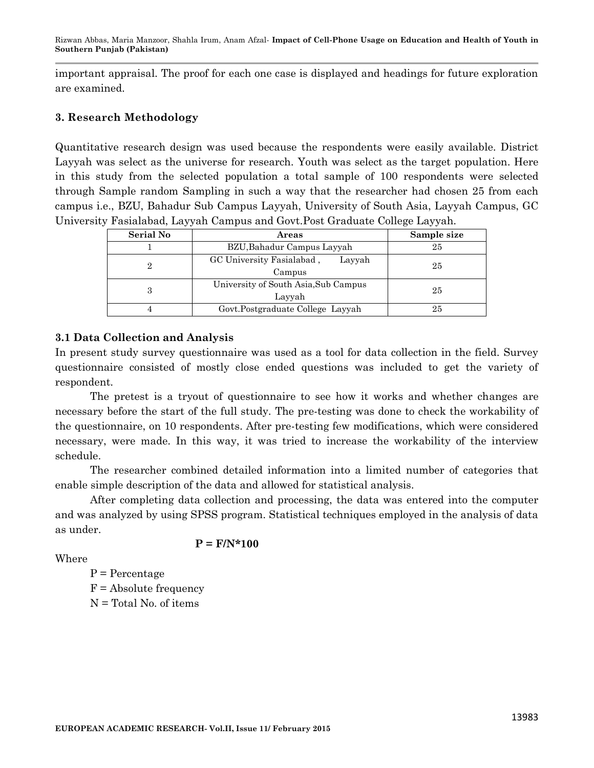Rizwan Abbas, Maria Manzoor, Shahla Irum, Anam Afzal*-* **Impact of Cell-Phone Usage on Education and Health of Youth in Southern Punjab (Pakistan)**

important appraisal. The proof for each one case is displayed and headings for future exploration are examined.

# **3. Research Methodology**

Quantitative research design was used because the respondents were easily available. District Layyah was select as the universe for research. Youth was select as the target population. Here in this study from the selected population a total sample of 100 respondents were selected through Sample random Sampling in such a way that the researcher had chosen 25 from each campus i.e., BZU, Bahadur Sub Campus Layyah, University of South Asia, Layyah Campus, GC University Fasialabad, Layyah Campus and Govt.Post Graduate College Layyah.

| <b>Serial No</b> | Areas                                          | Sample size |
|------------------|------------------------------------------------|-------------|
|                  | BZU, Bahadur Campus Layyah                     | 25          |
| 9.               | GC University Fasialabad,<br>Layyah<br>Campus  | 25          |
| 3                | University of South Asia, Sub Campus<br>Layyah | 25          |
|                  | Govt.Postgraduate College Layyah               | 25          |

# **3.1 Data Collection and Analysis**

In present study survey questionnaire was used as a tool for data collection in the field. Survey questionnaire consisted of mostly close ended questions was included to get the variety of respondent.

The pretest is a tryout of questionnaire to see how it works and whether changes are necessary before the start of the full study. The pre-testing was done to check the workability of the questionnaire, on 10 respondents. After pre-testing few modifications, which were considered necessary, were made. In this way, it was tried to increase the workability of the interview schedule.

The researcher combined detailed information into a limited number of categories that enable simple description of the data and allowed for statistical analysis.

After completing data collection and processing, the data was entered into the computer and was analyzed by using SPSS program. Statistical techniques employed in the analysis of data as under.

**P = F/N\*100**

Where

 $P = Percentage$  $F =$ Absolute frequency N = Total No. of items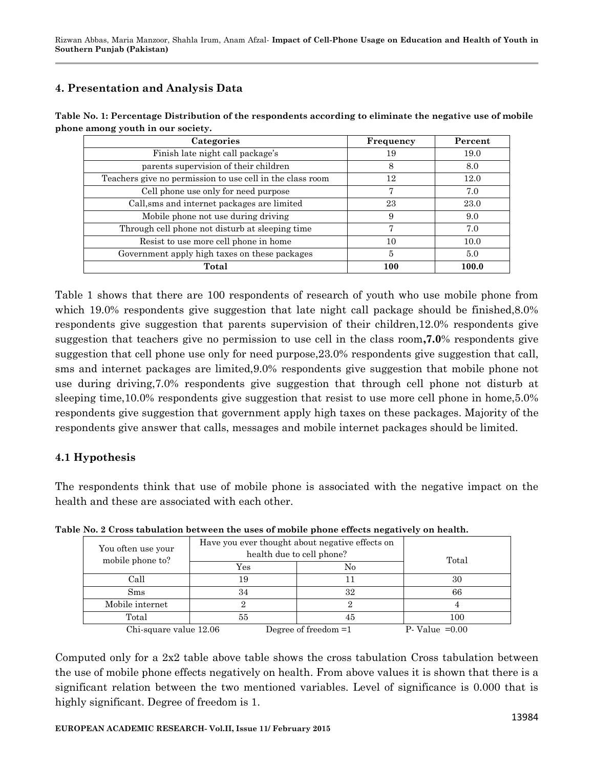# **4. Presentation and Analysis Data**

| Categories                                                | Frequency | Percent |  |
|-----------------------------------------------------------|-----------|---------|--|
| Finish late night call package's                          | 19        | 19.0    |  |
| parents supervision of their children                     | 8         | 8.0     |  |
| Teachers give no permission to use cell in the class room | 12        | 12.0    |  |
| Cell phone use only for need purpose                      |           | 7.0     |  |
| Call, sms and internet packages are limited               | 23        | 23.0    |  |
| Mobile phone not use during driving                       | 9         | 9.0     |  |
| Through cell phone not disturb at sleeping time           | 7         | 7.0     |  |
| Resist to use more cell phone in home                     | 10        | 10.0    |  |
| Government apply high taxes on these packages             | 5         | 5.0     |  |
| Total                                                     | 100       | 100.0   |  |

**Table No. 1: Percentage Distribution of the respondents according to eliminate the negative use of mobile phone among youth in our society.**

Table 1 shows that there are 100 respondents of research of youth who use mobile phone from which 19.0% respondents give suggestion that late night call package should be finished, 8.0% respondents give suggestion that parents supervision of their children,12.0% respondents give suggestion that teachers give no permission to use cell in the class room**,7.0**% respondents give suggestion that cell phone use only for need purpose,23.0% respondents give suggestion that call, sms and internet packages are limited,9.0% respondents give suggestion that mobile phone not use during driving,7.0% respondents give suggestion that through cell phone not disturb at sleeping time,10.0% respondents give suggestion that resist to use more cell phone in home,5.0% respondents give suggestion that government apply high taxes on these packages. Majority of the respondents give answer that calls, messages and mobile internet packages should be limited.

# **4.1 Hypothesis**

The respondents think that use of mobile phone is associated with the negative impact on the health and these are associated with each other.

| You often use your<br>mobile phone to? | Have you ever thought about negative effects on<br>health due to cell phone? |                        | Total            |  |  |  |
|----------------------------------------|------------------------------------------------------------------------------|------------------------|------------------|--|--|--|
|                                        | $\rm Yes$                                                                    | No                     |                  |  |  |  |
| Call                                   | 19                                                                           |                        | 30               |  |  |  |
| S <sub>ms</sub>                        | 34                                                                           | 32                     | 66               |  |  |  |
| Mobile internet                        |                                                                              |                        |                  |  |  |  |
| Total                                  | 55                                                                           | 45                     | 100              |  |  |  |
| Chi-square value 12.06                 |                                                                              | Degree of freedom $=1$ | $P-Value = 0.00$ |  |  |  |

**Table No. 2 Cross tabulation between the uses of mobile phone effects negatively on health.**

Computed only for a 2x2 table above table shows the cross tabulation Cross tabulation between the use of mobile phone effects negatively on health. From above values it is shown that there is a significant relation between the two mentioned variables. Level of significance is 0.000 that is highly significant. Degree of freedom is 1.